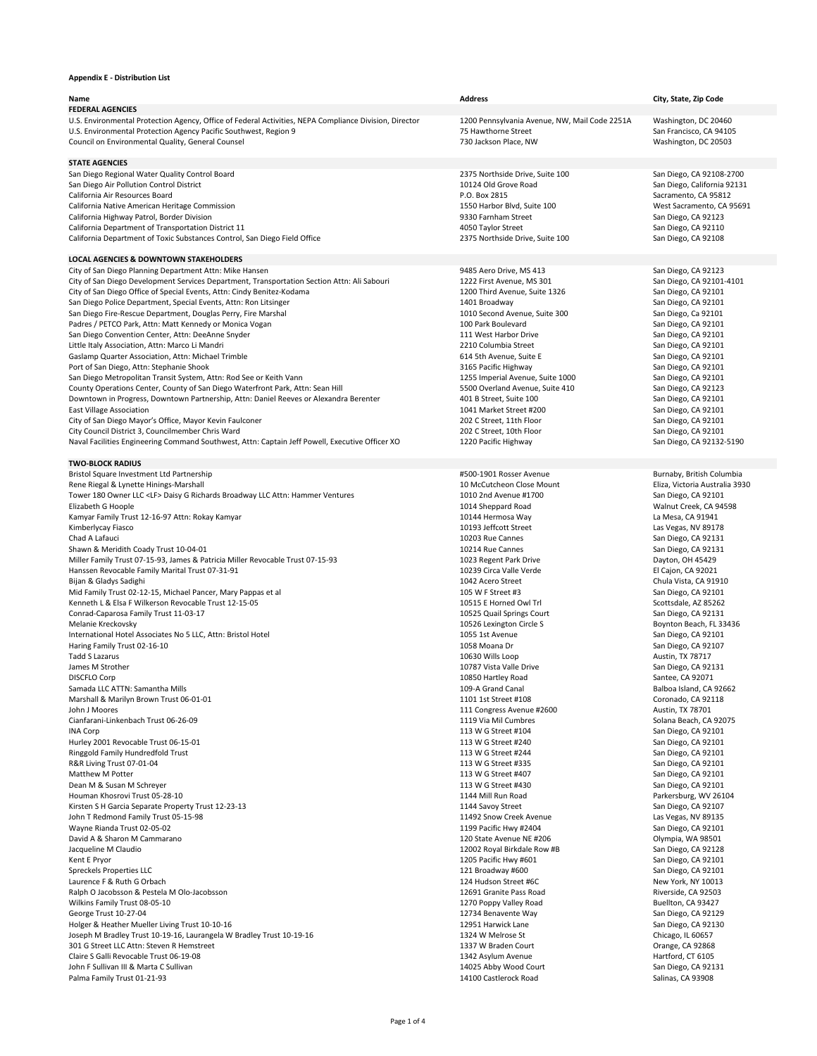| <b>Name</b><br><b>FEDERAL AGENCIES</b>                                                                 | <b>Address</b>                                | City, State, Zip Code          |
|--------------------------------------------------------------------------------------------------------|-----------------------------------------------|--------------------------------|
| U.S. Environmental Protection Agency, Office of Federal Activities, NEPA Compliance Division, Director | 1200 Pennsylvania Avenue, NW, Mail Code 2251A | Washington, DC 20460           |
| U.S. Environmental Protection Agency Pacific Southwest, Region 9                                       | 75 Hawthorne Street                           | San Francisco, CA 94105        |
| Council on Environmental Quality, General Counsel                                                      | 730 Jackson Place, NW                         | Washington, DC 20503           |
| <b>STATE AGENCIES</b>                                                                                  |                                               |                                |
| San Diego Regional Water Quality Control Board                                                         | 2375 Northside Drive, Suite 100               | San Diego, CA 92108-2700       |
| San Diego Air Pollution Control District                                                               | 10124 Old Grove Road                          | San Diego, California 92131    |
| California Air Resources Board                                                                         | P.O. Box 2815                                 | Sacramento, CA 95812           |
| California Native American Heritage Commission                                                         | 1550 Harbor Blvd, Suite 100                   | West Sacramento, CA 95691      |
| California Highway Patrol, Border Division                                                             | 9330 Farnham Street                           | San Diego, CA 92123            |
| California Department of Transportation District 11                                                    | 4050 Taylor Street                            | San Diego, CA 92110            |
| California Department of Toxic Substances Control, San Diego Field Office                              | 2375 Northside Drive, Suite 100               | San Diego, CA 92108            |
| <b>LOCAL AGENCIES &amp; DOWNTOWN STAKEHOLDERS</b>                                                      |                                               |                                |
| City of San Diego Planning Department Attn: Mike Hansen                                                | 9485 Aero Drive, MS 413                       | San Diego, CA 92123            |
| City of San Diego Development Services Department, Transportation Section Attn: Ali Sabouri            | 1222 First Avenue, MS 301                     | San Diego, CA 92101-4101       |
| City of San Diego Office of Special Events, Attn: Cindy Benitez-Kodama                                 | 1200 Third Avenue, Suite 1326                 | San Diego, CA 92101            |
| San Diego Police Department, Special Events, Attn: Ron Litsinger                                       | 1401 Broadway                                 | San Diego, CA 92101            |
| San Diego Fire-Rescue Department, Douglas Perry, Fire Marshal                                          | 1010 Second Avenue, Suite 300                 | San Diego, Ca 92101            |
| Padres / PETCO Park, Attn: Matt Kennedy or Monica Vogan                                                | 100 Park Boulevard                            | San Diego, CA 92101            |
| San Diego Convention Center, Attn: DeeAnne Snyder                                                      | 111 West Harbor Drive                         | San Diego, CA 92101            |
| Little Italy Association, Attn: Marco Li Mandri                                                        | 2210 Columbia Street                          | San Diego, CA 92101            |
| <b>Gaslamp Quarter Association, Attn: Michael Trimble</b>                                              | 614 5th Avenue, Suite E                       | San Diego, CA 92101            |
| Port of San Diego, Attn: Stephanie Shook                                                               | 3165 Pacific Highway                          | San Diego, CA 92101            |
| San Diego Metropolitan Transit System, Attn: Rod See or Keith Vann                                     | 1255 Imperial Avenue, Suite 1000              | San Diego, CA 92101            |
| County Operations Center, County of San Diego Waterfront Park, Attn: Sean Hill                         | 5500 Overland Avenue, Suite 410               | San Diego, CA 92123            |
| Downtown in Progress, Downtown Partnership, Attn: Daniel Reeves or Alexandra Berenter                  | 401 B Street, Suite 100                       | San Diego, CA 92101            |
| East Village Association                                                                               | 1041 Market Street #200                       | San Diego, CA 92101            |
| City of San Diego Mayor's Office, Mayor Kevin Faulconer                                                | 202 C Street, 11th Floor                      | San Diego, CA 92101            |
| City Council District 3, Councilmember Chris Ward                                                      | 202 C Street, 10th Floor                      | San Diego, CA 92101            |
| Naval Facilities Engineering Command Southwest, Attn: Captain Jeff Powell, Executive Officer XO        | 1220 Pacific Highway                          | San Diego, CA 92132-5190       |
| <b>TWO-BLOCK RADIUS</b>                                                                                |                                               |                                |
| Bristol Square Investment Ltd Partnership                                                              | #500-1901 Rosser Avenue                       | Burnaby, British Columbia      |
| Rene Riegal & Lynette Hinings-Marshall                                                                 | 10 McCutcheon Close Mount                     | Eliza, Victoria Australia 3930 |
| Tower 180 Owner LLC <lf> Daisy G Richards Broadway LLC Attn: Hammer Ventures</lf>                      | 1010 2nd Avenue #1700                         | San Diego, CA 92101            |
| Elizabeth G Hoople                                                                                     | 1014 Sheppard Road                            | Walnut Creek, CA 94598         |
| Kamyar Family Trust 12-16-97 Attn: Rokay Kamyar                                                        | 10144 Hermosa Way                             | La Mesa, CA 91941              |
| Kimberlycay Fiasco                                                                                     | 10193 Jeffcott Street                         | Las Vegas, NV 89178            |
| Chad A Lafauci                                                                                         | 10203 Rue Cannes                              | San Diego, CA 92131            |
| Shawn & Meridith Coady Trust 10-04-01                                                                  | 10214 Rue Cannes                              | San Diego, CA 92131            |
| Miller Family Trust 07-15-93, James & Patricia Miller Revocable Trust 07-15-93                         | 1023 Regent Park Drive                        | Dayton, OH 45429               |
| Hanssen Revocable Family Marital Trust 07-31-91                                                        | 10239 Circa Valle Verde                       | El Cajon, CA 92021             |
| Bijan & Gladys Sadighi                                                                                 | 1042 Acero Street                             | Chula Vista, CA 91910          |
| Mid Family Trust 02-12-15, Michael Pancer, Mary Pappas et al                                           | 105 W F Street #3                             | San Diego, CA 92101            |
| Kenneth L & Elsa F Wilkerson Revocable Trust 12-15-05                                                  | 10515 E Horned Owl Trl                        | Scottsdale, AZ 85262           |
| Conrad-Caparosa Family Trust 11-03-17                                                                  | 10525 Quail Springs Court                     | San Diego, CA 92131            |
| Melanie Kreckovsky                                                                                     | 10526 Lexington Circle S                      | Boynton Beach, FL 33436        |
| International Hotel Associates No 5 LLC, Attn: Bristol Hotel                                           | 1055 1st Avenue                               | San Diego, CA 92101            |

Haring Family Trust 02-16-10 **1058 Moana Dr** 2058 Moana Dr 5an Diego, CA 92107 Tadd S Lazarus 10630 Wills Loop Austin, TX 78717 James M Strother San Diego, CA 92131 DISCFLO Corp 10850 Hartley Road Santee, CA 92071 Samada LLC ATTN: Samantha Mills **109-A Grand Canal 2001** A Grand Canal Balboa Island, CA 92662 Marshall & Marilyn Brown Trust 06-01-01 1101 1st Street #108 Coronado, CA 92118 John J Moores 2008 Austin, TX 78701 Cianfarani-Linkenbach Trust 06-26-09 **1119 Via Mil Cumbres** 50lana Beach, CA 92075 INA Corp San Diego, CA 92101 Hurley 2001 Revocable Trust 06-15-01 113 W G Street #240 San Diego, CA 92101 Ringgold Family Hundredfold Trust Trust 113 W G Street #244 San Diego, CA 92101 R&R Living Trust 07-01-04 20101 3 and Diego, CA 92101 Matthew M Potter San Diego, CA 92101 Dean M & Susan M Schreyer San Diego, CA 92101 Houman Khosrovi Trust 05-28-10 **1144 Mill Run Road** Parkersburg, WV 26104 Kirsten S H Garcia Separate Property Trust 12-23-13 1144 Savoy Street San Diego, CA 92107 John T Redmond Family Trust 05-15-98 11492 Snow Creek Avenue 2011492 Snow Creek Avenue Las Vegas, NV 89135 Wayne Rianda Trust 02-05-02 **San Diego, CA 92101** 1199 Pacific Hwy #2404 San Diego, CA 92101 David A & Sharon M Cammarano **120 State Avenue NE #206** 200 State Avenue NE #206 2014 20 Olympia, WA 98501 Jacqueline M Claudio San Diego, CA 92128 Kent E Pryor San Diego, CA 92101 Spreckels Properties LLC San Diego, CA 92101 Laurence F & Ruth G Orbach New York, NY 10013 Ralph O Jacobsson & Pestela M Olo-Jacobsson **12691 Granite Pass Road** Riverside, CA 92503 Wilkins Family Trust 08-05-10 **1270 Poppy Valley Road** 2270 Poppy Valley Road Buellton, CA 93427 George Trust 10-27-04 **San Diego, CA 92129** 12734 Benavente Way **San Diego, CA 92129** Holger & Heather Mueller Living Trust 10-10-16 12951 Harwick Lane 12951 Harwick Lane San Diego, CA 92130 Joseph M Bradley Trust 10-19-16, Laurangela W Bradley Trust 10-19-16 1324 W Melrose St Chicago, IL 60657 Chicago, IL 60657 301 G Street LLC Attn: Steven R Hemstreet **1337 W Braden Court** 1337 W Braden Court **1337 W Braden Court** Orange, CA 92868 Claire S Galli Revocable Trust 06-19-08 1342 Asylum Avenue 1342 Asylum Avenue Hartford, CT 6105 John F Sullivan III & Marta C Sullivan 14025 Abby Wood Court 14025 Abby Wood Court San Diego, CA 92131 Palma Family Trust 01-21-93 Salinas, CA 93908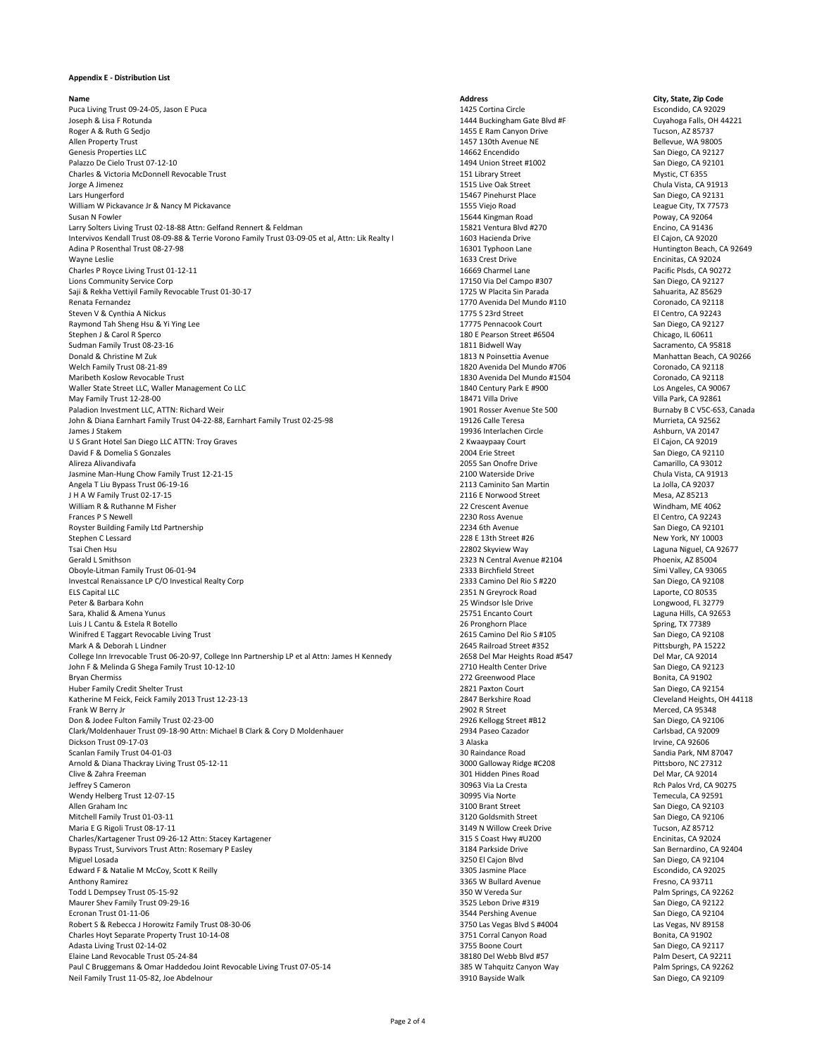Puca Living Trust 09-24-05, Jason E Puca 20229 **1425 Cortina Circle** 25 Cortina Circle 2020 Escondido, CA 92029 Joseph & Lisa F Rotunda 1444 Buckingham Gate Blvd #F Cuyahoga Falls, OH 44221 Roger A & Ruth G Sedjo Tucson, AZ 85737 Allen Property Trust New States of the Sellevue, WA 98005 Allen Property Trust 1457 130th Avenue NE Rellevue, WA 98005 Genesis Properties LLC 14662 Encendido San Diego, CA 92127 Palazzo De Cielo Trust 07-12-10 1494 Union Street #1002 San Diego, CA 92101 Charles & Victoria McDonnell Revocable Trust **151 Library Street** 151 Library Street Mystic, CT 6355 Jorge A Jimenez 1515 Live Oak Street Chula Vista, CA 91913 Lars Hungerford 15467 Pinehurst Place San Diego, CA 92131 William W Pickavance Jr & Nancy M Pickavance 1555 Viejo Road 1555 Viejo Road League City, TX 77573 Susan N Fowler **15644 Kingman Road** Poway, CA 92064 Larry Solters Living Trust 02-18-88 Attn: Gelfand Rennert & Feldman 15821 Ventura Blvd #270 Encino, CA 91436 Intervivos Kendall Trust 08-09-88 & Terrie Vorono Family Trust 03-09-05 et al, Attn: Lik Realty I 1603 Hacienda Drive El Cajon, CA 92020 Adina P Rosenthal Trust 08-27-98 **16301 Typhoon Lane** 16301 Typhoon Lane **16301 Typhoon Lane** Huntington Beach, CA 92649 Wayne Leslie 1633 Crest Drive Encinitas, CA 92024 Charles P Royce Living Trust 01-12-11 2002 72 2009 16669 Charmel Lane 2008 16669 Charmel Lane Pacific Plsds, CA 90272 Lions Community Service Corp 17150 Via Del Campo #307 San Diego, CA 92127 Saji & Rekha Vettiyil Family Revocable Trust 01-30-17 1725 W Placita Sin Parada Sahuarita, AZ 85629 Renata Fernandez Coronado, CA 92118 Steven V & Cynthia A Nickus **El Centro, CA 92243** and Steven V & Cynthia A Nickus 1775 S 23rd Street El Centro, CA 92243 Raymond Tah Sheng Hsu & Yi Ying Lee 1778 Pennacook Court 17775 Pennacook Court San Diego, CA 92127 Stephen J & Carol R Sperco Chicago, IL 60611 Sudman Family Trust 08-23-16 **1811 Bidwell Way** 1811 Bidwell Way Sacramento, CA 95818 Donald & Christine M Zuk 1813 N Poinsettia Avenue 1813 N Poinsettia Avenue Manhattan Beach, CA 90266 Welch Family Trust 08-21-89 1820 Avenida Del Mundo #706 Coronado, CA 92118 Maribeth Koslow Revocable Trust Coronado, CA 92118 Waller State Street LLC, Waller Management Co LLC and the Communication of the Contemporary Park E #900 Los Angeles, CA 90067 May Family Trust 12-28-00 Villa Park, CA 92861 Paladion Investment LLC, ATTN: Richard Weir 1901 Rosser Avenue Ste 500 Burnaby B C V5C-6S3, Canada John & Diana Earnhart Family Trust 04-22-88, Earnhart Family Trust 02-25-98 19126 Calle Teresa Murrieta, CA 92562 James J Stakem 19936 Interlachen Circle Ashburn, VA 20147 U S Grant Hotel San Diego LLC ATTN: Troy Graves **2 States 2 Allen and States 2 Allen and States 2 Allen and States 2 Kwaaypaay Court** El Cajon, CA 92019 David F & Domelia S Gonzales 2004 Erie Street Street San Diego, CA 92110 Alireza Alivandivafa 2055 San Onofre Drive Camarillo, CA 93012 Jasmine Man-Hung Chow Family Trust 12-21-15 **2100 Waterside Drive** 2100 Waterside Drive Chula Vista, CA 91913 Angela T Liu Bypass Trust 06-19-16 2113 Caminito San Martin La Jolla, CA 92037 J H A W Family Trust 02-17-15 2116 E Norwood Street Mesa, AZ 85213 William R & Ruthanne M Fisher 20 Strategies and the settlement of the controller controller and the controller of the controller controller and the controller controller and the controller controller controller and the con Frances P S Newell 2230 Ross Avenue El Centro, CA 92243 Royster Building Family Ltd Partnership **Exercise 2006** 2234 6th Avenue San Diego, CA 92101 Stephen C Lessard New York, NY 10003 Tsai Chen Hsu 22802 Skyview Way Laguna Niguel, CA 92677 Gerald L Smithson **2323 N** Central Avenue #2104 Phoenix, AZ 85004 Oboyle-Litman Family Trust 06-01-94 **2333 Birchfield Street** 2333 Birchfield Street Simi Valley, CA 93065 Investcal Renaissance LP C/O Investical Realty Corp 2333 Camino Del Rio S #220 San Diego, CA 92108 ELS Capital LLC 2351 N Greyrock Road Laporte, CO 80535 Peter & Barbara Kohn **25 Windsor Isle Drive** 25 Windsor Isle Drive 25 Windsor Isle Drive Longwood, FL 32779 Sara, Khalid & Amena Yunus 25751 Encanto Court 25751 Encanto Court Laguna Hills, CA 92653 Luis J L Cantu & Estela R Botello Spring, TX 77389 Winifred E Taggart Revocable Living Trust 2615 Camino Del Rio S #105 San Diego, CA 92108 Mark A & Deborah L Lindner 2645 Railroad Street #352 Pittsburgh, PA 15222 College Inn Irrevocable Trust 06-20-97, College Inn Partnership LP et al Attn: James H Kennedy 2658 Del Mar Heights Road #547 Del Mar, CA 92014 John F & Melinda G Shega Family Trust 10-12-10 <br>2710 Health Center Drive San Diego, CA 92123 Bryan Chermiss **Example 272 Greenwood Place Bonita, CA 91902 Bonita**, CA 91902 Huber Family Credit Shelter Trust 2821 Paxton Court San Diego, CA 92154 Katherine M Feick, Feick Family 2013 Trust 12-23-13 **2847 Berkshire Road** Cleveland Heights, OH 44118 Frank W Berry Jr **Merced, CA 95348** Prank W Berry Jr **Merced, CA 95348** Don & Jodee Fulton Family Trust 02-23-00 2926 Xellogg Street #B12 San Diego, CA 92106 Clark/Moldenhauer Trust 09-18-90 Attn: Michael B Clark & Cory D Moldenhauer 2934 Paseo Cazador Carlsbad, CA 92009 Dickson Trust 09-17-03 **Sand Access 17 and Access 18 and Access 17 and Access 17 and Access 17 and Access 17 and Access 17 and Access 17 and Access 17 and Access 17 and Access 17 and Access 17 and Access 17 and Access 17 a** Scanlan Family Trust 04-01-03 **Scanlan Family Trust 04-01-03** 30 Raindance Road Sandia Park, NM 87047 Arnold & Diana Thackray Living Trust 05-12-11 2000 Pittsboro, NC 27312 Clive & Zahra Freeman 301 Hidden Pines Road Del Mar, CA 92014 Jeffrey S Cameron 30963 Via La Cresta Rch Palos Vrd, CA 90275 Wendy Helberg Trust 12-07-15 **Temecula**, CA 92591 Allen Graham Inc 3100 Brant Street San Diego, CA 92103 Mitchell Family Trust 01-03-11 3120 Goldsmith Street San Diego, CA 92106 Maria E G Rigoli Trust 08-17-11 2012 12:37 12 2012 12:3149 N Willow Creek Drive Tucson, AZ 85712 Charles/Kartagener Trust 09-26-12 Attn: Stacey Kartagener 315 S Coast Hwy #U200 Encinitas, CA 92024 Bypass Trust, Survivors Trust Attn: Rosemary P Easley 3184 Parkside Drive 3184 Parkside Drive San Bernardino, CA 92404 Miguel Losada 3250 El Cajon Blvd San Diego, CA 92104 Edward F & Natalie M McCoy, Scott K Reilly **According the Control of Control** 3305 Jasmine Place Escondido, CA 92025 Anthony Ramirez **1986** CA 93711 **Anthony Ramirez 1986** CA 93711 Todd L Dempsey Trust 05-15-92 350 W Vereda Sur Palm Springs, CA 92262 Maurer Shev Family Trust 09-29-16 3525 Lebon Drive #319 San Diego, CA 92122 Ecronan Trust 01-11-06 San Diego, CA 92104 Robert S & Rebecca J Horowitz Family Trust 08-30-06 3750 Las Vegas Blvd S #4004 Las Vegas, NV 89158 Charles Hoyt Separate Property Trust 10-14-08 3751 Corral Canyon Road Bonita, CA 91902 Adasta Living Trust 02-14-02 **San Diego, CA 92117** 3755 Boone Court San Diego, CA 92117 Elaine Land Revocable Trust 05-24-84 38180 Del Webb Blvd #57 Palm Desert, CA 92211 Paul C Bruggemans & Omar Haddedou Joint Revocable Living Trust 07-05-14 385 W Tahquitz Canyon Way Palm Springs, CA 92262 Neil Family Trust 11-05-82, Joe Abdelnour and San Diego, CA 92109 Sayside Walk San Diego, CA 92109

**Name Address City, State, Zip Code**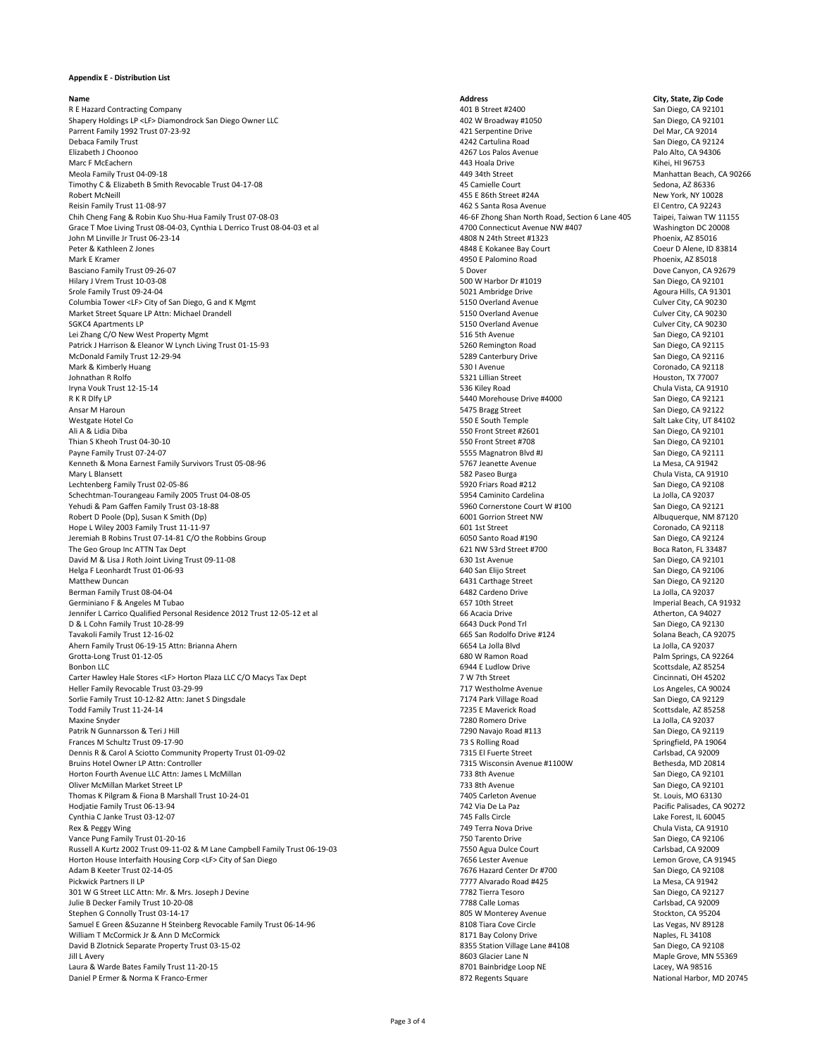R E Hazard Contracting Company San Diego, CA 92101 Shapery Holdings LP <LF> Diamondrock San Diego Owner LLC 402 W Broadway #1050 San Diego, CA 92101 Parrent Family 1992 Trust 07-23-92 **Accord Parrow Community 1992 Trust 07-23-92** 421 Serpentine Drive Del Mar, CA 92014 Debaca Family Trust 4242 Cartulina Road San Diego, CA 92124 Elizabeth J Choonoo 4267 Los Palos Avenue Palo Alto, CA 94306 Marc F McEachern 443 Hoala Drive Kihei, HI 96753 Meola Family Trust 04-09-18 **Accord 19 12 12:33 12:34 Additional Accord 10 12:34th Street** Manhattan Beach, CA 90266 Timothy C & Elizabeth B Smith Revocable Trust 04-17-08 45 Camielle Court Sedona, AZ 86336 Robert McNeill 455 E 86th Street #24A New York, NY 10028 Reisin Family Trust 11-08-97 **Access 11-08-97** 2014 12:33 Santa Rosa Avenue **Access 2014** 2015 Santa Rosa Avenue Chih Cheng Fang & Robin Kuo Shu-Hua Family Trust 07-08-03 46-6F Zhong Shan North Road, Section 6 Lane 405 Taipei, Taiwan TW 11155 Grace T Moe Living Trust 08-04-03, Cynthia L Derrico Trust 08-04-03 et al 4700 Connecticut Avenue NW #407 Washington DC 20008 John M Linville Jr Trust 06-23-14 4808 N 24th Street #1323 Phoenix, AZ 85016 Peter & Kathleen Z Jones **Accord 2 Setting 2 ASAS EXOKANEE Bay Court** Coeur D Alene, ID 83814 Mark E Kramer **Access 1980 Properties Access 19950 E Palomino Road** Phoenix, AZ 85018 Basciano Family Trust 09-26-07 **Subset of the Controller of the Controller Controller Subset of the Controller Subset of the Controller Subset of the Dove Canyon, CA 92679** Hilary J Vrem Trust 10-03-08 San Diego, CA 92101 Srole Family Trust 09-24-04 **Show Agoura Hills, CA 91301** 5021 Ambridge Drive **Agoura Hills, CA 91301** Columbia Tower <LF> City of San Diego, G and K Mgmt 61 Columbia Tower <LF> City of San Diego, G and K Mgmt 61 Culver City, CA 90230 Market Street Square LP Attn: Michael Drandell 5150 Overland Avenue Culver City, CA 90230 SGKC4 Apartments LP 61 Culver City, CA 30230 Lei Zhang C/O New West Property Mgmt 61 November 2021 101 November 2021 101 November 2021 102 San Diego, CA 92101 Patrick J Harrison & Eleanor W Lynch Living Trust 01-15-93 5260 Remington Road San Diego, CA 92115 McDonald Family Trust 12-29-94 **San Diego, CA 92116** 5289 Canterbury Drive 5289 Canterbury Drive San Diego, CA 92116 Mark & Kimberly Huang Coronado, CA 92118 Johnathan R Rolfo 5321 Lillian Street Houston, TX 77007 Iryna Vouk Trust 12-15-14 536 Kiley Road Chula Vista, CA 91910 R K R Dlfy LP San Diego, CA 92121 Ansar M Haroun 5475 Bragg Street 5475 Bragg Street 5475 Bragg Street 5475 Bragg Street 5475 Bragg Street 55475 Bragg Street 55475 Bragg Street 55475 Bragg Street 556 San Diego, CA 92122 Westgate Hotel Co 550 E South Temple 550 E South Temple Salt Lake City, UT 84102 Ali A & Lidia Diba 550 Front Street #2601 San Diego, CA 92101 Thian S Kheoh Trust 04-30-10 San Diego, CA 92101 Payne Family Trust 07-24-07 San Diego, CA 92111 Kenneth & Mona Earnest Family Survivors Trust 05-08-96 5767 Jeanette Avenue 5767 Jeanette Avenue La Mesa, CA 91942 Mary L Blansett **Example 2018** Chula Vista, CA 91910 Lechtenberg Family Trust 02-05-86 5920 Friars Road #212 San Diego, CA 92108 Schechtman-Tourangeau Family 2005 Trust 04-08-05 5955 5954 Caminito Cardelina Cardelina La Jolla, CA 92037 Yehudi & Pam Gaffen Family Trust 03-18-88 5960 Cornerstone Court W #100 San Diego, CA 92121 Robert D Poole (Dp), Susan K Smith (Dp)  $6001$  Gorrion Street NW Albuquerque, NM 87120 Hope L Wiley 2003 Family Trust 11-11-97 **Exercise 2003** Family Trust 11-11-97 **601 1st Street** Coronado, CA 92118 Jeremiah B Robins Trust 07-14-81 C/O the Robbins Group 6050 Santo Road #190 Santo Road #190 San Diego, CA 92124 The Geo Group Inc ATTN Tax Dept **621 NW 53rd Street #700** 621 NW 53rd Street #700 **Boca Raton, FL 33487** David M & Lisa J Roth Joint Living Trust 09-11-08 extending the San Diego, CA 92101 630 1st Avenue San Diego, CA 92101 Helga F Leonhardt Trust 01-06-93 **640 San Elijo Street** 640 San Elijo Street 540 San Diego, CA 92106 Matthew Duncan San Diego, CA 92120 Berman Family Trust 08-04-04 **6482** Cardeno Drive 6482 Cardeno Drive Campus Canadia, CA 92037 Germiniano F & Angeles M Tubao **657 10th Street** 657 10th Street 657 10th Street 657 10th Street 657 10th Street Jennifer L Carrico Qualified Personal Residence 2012 Trust 12-05-12 et al 66 Acacia Drive 66 Acacia Drive Atherton, CA 94027 D & L Cohn Family Trust 10-28-99 **6643** Duck Pond Trl 56643 Duck Pond Trl 56643 Duck Pond Trl 58 Duck Pond Trl 58 Duck Pond Trl 58 Duck Pond Trl 58 Duck Pond Trl 58 Duck Pond Trl 58 Duck Pond Trl 58 Duck Pond Trl 58 Duck P Tavakoli Family Trust 12-16-02 **665 San Rodolfo Drive #124** 665 San Rodolfo Drive #124 Solana Beach, CA 92075 Ahern Family Trust 06-19-15 Attn: Brianna Ahern 6654 La Jolla Blvd La Jolla, CA 92037 Grotta-Long Trust 01-12-05 **Fig. 2018** 2018 12:05 **680 W Ramon Road** Palm Springs, CA 92264 Bonbon LLC 6944 E Ludlow Drive 6944 E Ludlow Drive 6944 E Ludlow Drive 5 Scottsdale, AZ 85254 Carter Hawley Hale Stores <LF> Horton Plaza LLC C/O Macys Tax Dept 7 W 7th Street Cincinnati, OH 45202 Heller Family Revocable Trust 03-29-99 **717 Westholme Avenue** 717 Westholme Avenue Los Angeles, CA 90024 Sorlie Family Trust 10-12-82 Attn: Janet S Dingsdale San Diego, CA 92129 7174 Park Village Road San Diego, CA 92129 Todd Family Trust 11-24-14 7235 E Maverick Road Scottsdale, AZ 85258 Maxine Snyder 7280 Romero Drive La Jolla, CA 92037 Patrik N Gunnarsson & Teri J Hill **Navalus A San Diego, CA 92119** 7290 Navajo Road #113 San Diego, CA 92119 Frances M Schultz Trust 09-17-90 **1998** 19964 73 S Rolling Road Springfield, PA 19064 Dennis R & Carol A Sciotto Community Property Trust 01-09-02 7315 El Fuerte Street Carlsbad, CA 92009 Bruins Hotel Owner LP Attn: Controller 7315 Wisconsin Avenue #1100W Bethesda, MD 20814 Horton Fourth Avenue LLC Attn: James L McMillan 733 8th Avenue San Diego, CA 92101 Oliver McMillan Market Street LP 733 8th Avenue San Diego, CA 92101 Thomas K Pilgram & Fiona B Marshall Trust 10-24-01 **7405 Carleton Avenue** 7405 Carleton Avenue St. Louis, MO 63130 Hodjatie Family Trust 06-13-94 742 Via De La Paz Pacific Palisades, CA 90272 Cynthia C Janke Trust 03-12-07 745 Falls Circle Lake Forest, IL 60045 Rex & Peggy Wing Chula Vista, CA 91910 Vance Pung Family Trust 01-20-16 **750 Tarento Drive San Diego, CA 92106** 750 Tarento Drive San Diego, CA 92106 Russell A Kurtz 2002 Trust 09-11-02 & M Lane Campbell Family Trust 06-19-03 7550 Agua Dulce Court Carlsbad, CA 92009 Carlsbad, CA 92009 Horton House Interfaith Housing Corp <LF> City of San Diego 7656 Lester Avenue 7656 Lester Avenue Lemon Grove, CA 91945 Adam B Keeter Trust 02-14-05 **The State of the Contemporal Center Dress** 7676 Hazard Center Dr #700 San Diego, CA 92108 Pickwick Partners II LP 7777 Alvarado Road #425 La Mesa, CA 91942 301 W G Street LLC Attn: Mr. & Mrs. Joseph J Devine 7782 Tierra Tesoro San Diego, CA 92127 Julie B Decker Family Trust 10-20-08 7788 Calle Lomas Carlsbad, CA 92009 Stephen G Connolly Trust 03-14-17 **Stockton, CA 95204** 805 W Monterey Avenue Stockton, CA 95204 Samuel E Green &Suzanne H Steinberg Revocable Family Trust 06-14-96 8108 Tiara Cove Circle Las Vegas, NV 89128 William T McCormick Jr & Ann D McCormick **8171 Bay Colony Drive** 8171 Bay Colony Drive Naples, FL 34108 David B Zlotnick Separate Property Trust 03-15-02 8355 Station Village Lane #4108 San Diego, CA 92108 Jill L Avery 8603 Glacier Lane N Maple Grove, MN 55369 Laura & Warde Bates Family Trust 11-20-15 **8701 Bainbridge Loop NE** Lacey, WA 98516 Daniel P Ermer & Norma K Franco-Ermer **800 COVID-ERM** 872 Regents Square 872 Regents Square National Harbor, MD 20745

# **Name Address City, State, Zip Code**